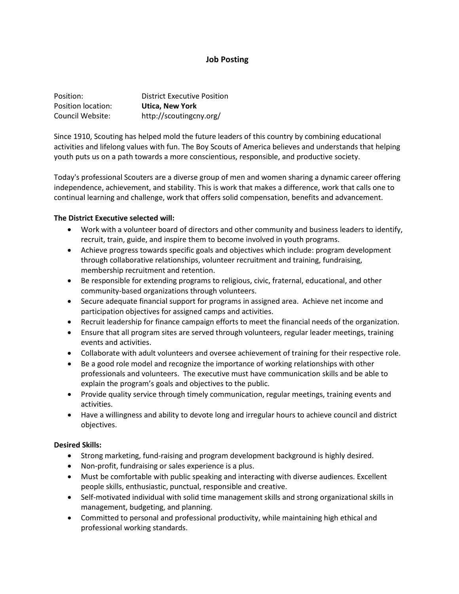## **Job Posting**

| Position:          | <b>District Executive Position</b> |
|--------------------|------------------------------------|
| Position location: | <b>Utica. New York</b>             |
| Council Website:   | http://scoutingcny.org/            |

Since 1910, Scouting has helped mold the future leaders of this country by combining educational activities and lifelong values with fun. The Boy Scouts of America believes and understands that helping youth puts us on a path towards a more conscientious, responsible, and productive society.

Today's professional Scouters are a diverse group of men and women sharing a dynamic career offering independence, achievement, and stability. This is work that makes a difference, work that calls one to continual learning and challenge, work that offers solid compensation, benefits and advancement.

## **The District Executive selected will:**

- Work with a volunteer board of directors and other community and business leaders to identify, recruit, train, guide, and inspire them to become involved in youth programs.
- Achieve progress towards specific goals and objectives which include: program development through collaborative relationships, volunteer recruitment and training, fundraising, membership recruitment and retention.
- Be responsible for extending programs to religious, civic, fraternal, educational, and other community-based organizations through volunteers.
- Secure adequate financial support for programs in assigned area. Achieve net income and participation objectives for assigned camps and activities.
- Recruit leadership for finance campaign efforts to meet the financial needs of the organization.
- Ensure that all program sites are served through volunteers, regular leader meetings, training events and activities.
- Collaborate with adult volunteers and oversee achievement of training for their respective role.
- Be a good role model and recognize the importance of working relationships with other professionals and volunteers. The executive must have communication skills and be able to explain the program's goals and objectives to the public.
- Provide quality service through timely communication, regular meetings, training events and activities.
- Have a willingness and ability to devote long and irregular hours to achieve council and district objectives.

# **Desired Skills:**

- Strong marketing, fund-raising and program development background is highly desired.
- Non-profit, fundraising or sales experience is a plus.
- Must be comfortable with public speaking and interacting with diverse audiences. Excellent people skills, enthusiastic, punctual, responsible and creative.
- Self-motivated individual with solid time management skills and strong organizational skills in management, budgeting, and planning.
- Committed to personal and professional productivity, while maintaining high ethical and professional working standards.